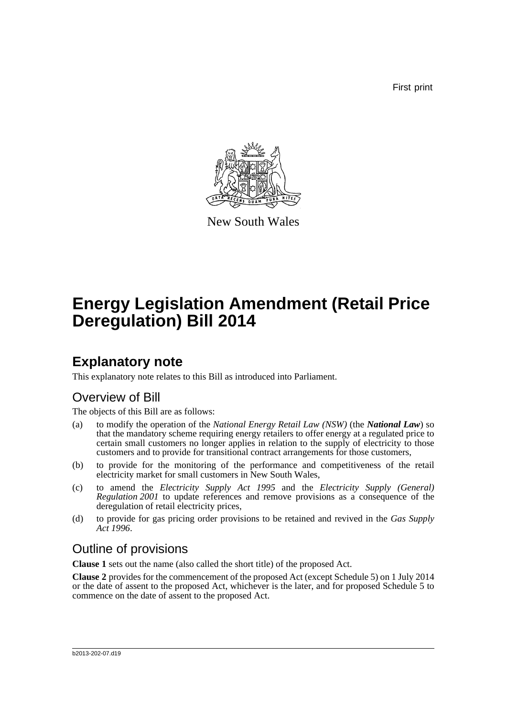First print



New South Wales

# **Energy Legislation Amendment (Retail Price Deregulation) Bill 2014**

## **Explanatory note**

This explanatory note relates to this Bill as introduced into Parliament.

## Overview of Bill

The objects of this Bill are as follows:

- (a) to modify the operation of the *National Energy Retail Law (NSW)* (the *National Law*) so that the mandatory scheme requiring energy retailers to offer energy at a regulated price to certain small customers no longer applies in relation to the supply of electricity to those customers and to provide for transitional contract arrangements for those customers,
- (b) to provide for the monitoring of the performance and competitiveness of the retail electricity market for small customers in New South Wales,
- (c) to amend the *Electricity Supply Act 1995* and the *Electricity Supply (General) Regulation 2001* to update references and remove provisions as a consequence of the deregulation of retail electricity prices,
- (d) to provide for gas pricing order provisions to be retained and revived in the *Gas Supply Act 1996*.

## Outline of provisions

**Clause 1** sets out the name (also called the short title) of the proposed Act.

**Clause 2** provides for the commencement of the proposed Act (except Schedule 5) on 1 July 2014 or the date of assent to the proposed Act, whichever is the later, and for proposed Schedule 5 to commence on the date of assent to the proposed Act.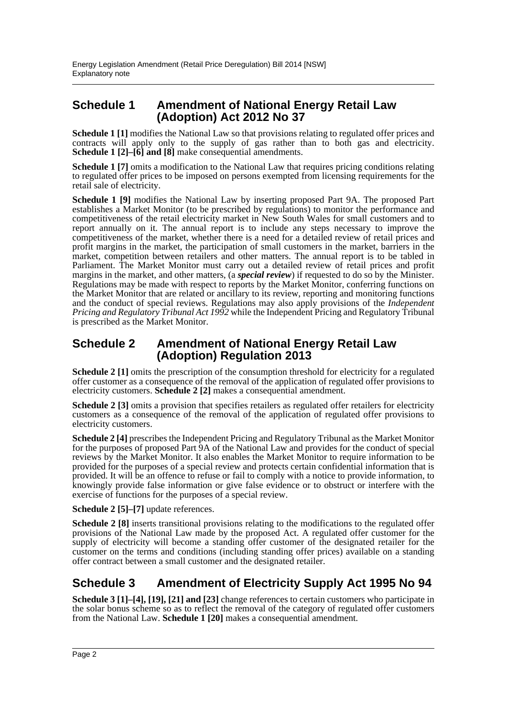### **Schedule 1 Amendment of National Energy Retail Law (Adoption) Act 2012 No 37**

**Schedule 1** [1] modifies the National Law so that provisions relating to regulated offer prices and contracts will apply only to the supply of gas rather than to both gas and electricity. **Schedule 1 [2]–[6] and [8]** make consequential amendments.

**Schedule 1** [7] omits a modification to the National Law that requires pricing conditions relating to regulated offer prices to be imposed on persons exempted from licensing requirements for the retail sale of electricity.

**Schedule 1 [9]** modifies the National Law by inserting proposed Part 9A. The proposed Part establishes a Market Monitor (to be prescribed by regulations) to monitor the performance and competitiveness of the retail electricity market in New South Wales for small customers and to report annually on it. The annual report is to include any steps necessary to improve the competitiveness of the market, whether there is a need for a detailed review of retail prices and profit margins in the market, the participation of small customers in the market, barriers in the market, competition between retailers and other matters. The annual report is to be tabled in Parliament. The Market Monitor must carry out a detailed review of retail prices and profit margins in the market, and other matters, (a *special review*) if requested to do so by the Minister. Regulations may be made with respect to reports by the Market Monitor, conferring functions on the Market Monitor that are related or ancillary to its review, reporting and monitoring functions and the conduct of special reviews. Regulations may also apply provisions of the *Independent Pricing and Regulatory Tribunal Act 1992* while the Independent Pricing and Regulatory Tribunal is prescribed as the Market Monitor.

### **Schedule 2 Amendment of National Energy Retail Law (Adoption) Regulation 2013**

**Schedule 2** [1] omits the prescription of the consumption threshold for electricity for a regulated offer customer as a consequence of the removal of the application of regulated offer provisions to electricity customers. **Schedule 2 [2]** makes a consequential amendment.

**Schedule 2 [3]** omits a provision that specifies retailers as regulated offer retailers for electricity customers as a consequence of the removal of the application of regulated offer provisions to electricity customers.

**Schedule 2 [4]** prescribes the Independent Pricing and Regulatory Tribunal as the Market Monitor for the purposes of proposed Part 9A of the National Law and provides for the conduct of special reviews by the Market Monitor. It also enables the Market Monitor to require information to be provided for the purposes of a special review and protects certain confidential information that is provided. It will be an offence to refuse or fail to comply with a notice to provide information, to knowingly provide false information or give false evidence or to obstruct or interfere with the exercise of functions for the purposes of a special review.

**Schedule 2 [5]–[7]** update references.

**Schedule 2 [8]** inserts transitional provisions relating to the modifications to the regulated offer provisions of the National Law made by the proposed Act. A regulated offer customer for the supply of electricity will become a standing offer customer of the designated retailer for the customer on the terms and conditions (including standing offer prices) available on a standing offer contract between a small customer and the designated retailer.

## **Schedule 3 Amendment of Electricity Supply Act 1995 No 94**

**Schedule 3 [1]–[4], [19], [21] and [23]** change references to certain customers who participate in the solar bonus scheme so as to reflect the removal of the category of regulated offer customers from the National Law. **Schedule 1 [20]** makes a consequential amendment.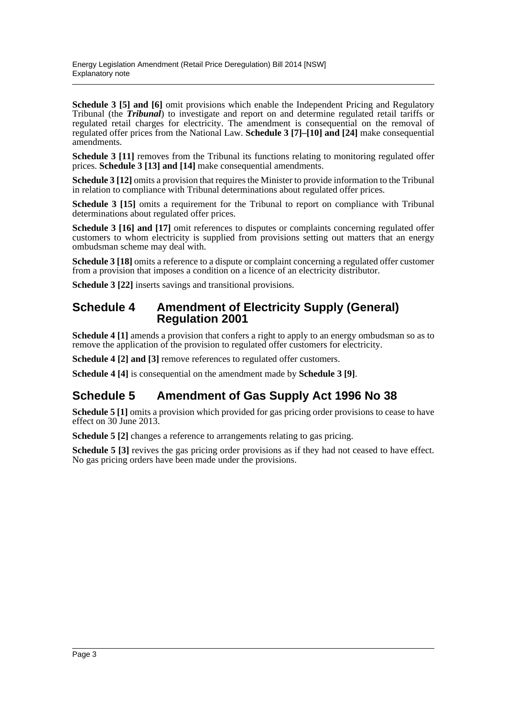**Schedule 3 [5] and [6]** omit provisions which enable the Independent Pricing and Regulatory Tribunal (the *Tribunal*) to investigate and report on and determine regulated retail tariffs or regulated retail charges for electricity. The amendment is consequential on the removal of regulated offer prices from the National Law. **Schedule 3 [7]–[10] and [24]** make consequential amendments.

**Schedule 3 [11]** removes from the Tribunal its functions relating to monitoring regulated offer prices. **Schedule 3 [13] and [14]** make consequential amendments.

**Schedule 3 [12]** omits a provision that requires the Minister to provide information to the Tribunal in relation to compliance with Tribunal determinations about regulated offer prices.

**Schedule 3 [15]** omits a requirement for the Tribunal to report on compliance with Tribunal determinations about regulated offer prices.

**Schedule 3 [16] and [17]** omit references to disputes or complaints concerning regulated offer customers to whom electricity is supplied from provisions setting out matters that an energy ombudsman scheme may deal with.

**Schedule 3 [18]** omits a reference to a dispute or complaint concerning a regulated offer customer from a provision that imposes a condition on a licence of an electricity distributor.

**Schedule 3 [22]** inserts savings and transitional provisions.

#### **Schedule 4 Amendment of Electricity Supply (General) Regulation 2001**

**Schedule 4 [1]** amends a provision that confers a right to apply to an energy ombudsman so as to remove the application of the provision to regulated offer customers for electricity.

**Schedule 4 [2] and [3]** remove references to regulated offer customers.

**Schedule 4 [4]** is consequential on the amendment made by **Schedule 3 [9]**.

## **Schedule 5 Amendment of Gas Supply Act 1996 No 38**

**Schedule 5 [1]** omits a provision which provided for gas pricing order provisions to cease to have effect on 30 June 2013.

**Schedule 5 [2]** changes a reference to arrangements relating to gas pricing.

**Schedule 5 [3]** revives the gas pricing order provisions as if they had not ceased to have effect. No gas pricing orders have been made under the provisions.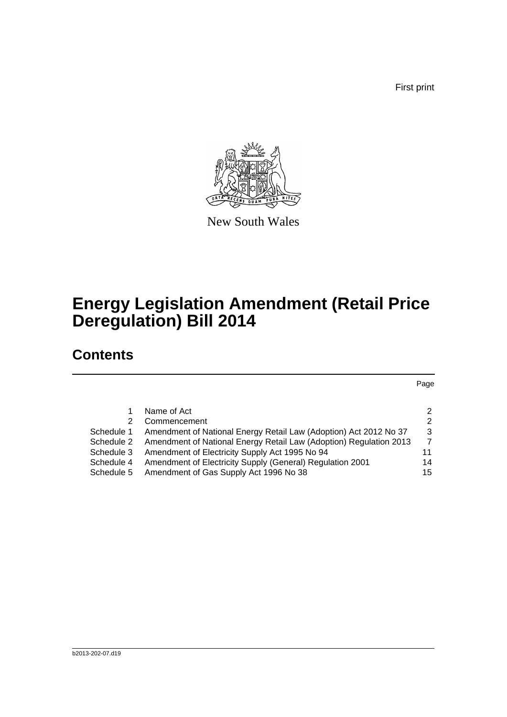First print



New South Wales

## **Energy Legislation Amendment (Retail Price Deregulation) Bill 2014**

## **Contents**

Page

|            | Name of Act                                                        | $\mathcal{P}$  |
|------------|--------------------------------------------------------------------|----------------|
| 2          | Commencement                                                       | $\mathcal{P}$  |
| Schedule 1 | Amendment of National Energy Retail Law (Adoption) Act 2012 No 37  | 3              |
| Schedule 2 | Amendment of National Energy Retail Law (Adoption) Regulation 2013 | $\overline{7}$ |
| Schedule 3 | Amendment of Electricity Supply Act 1995 No 94                     | 11             |
| Schedule 4 | Amendment of Electricity Supply (General) Regulation 2001          | 14             |
| Schedule 5 | Amendment of Gas Supply Act 1996 No 38                             | 15             |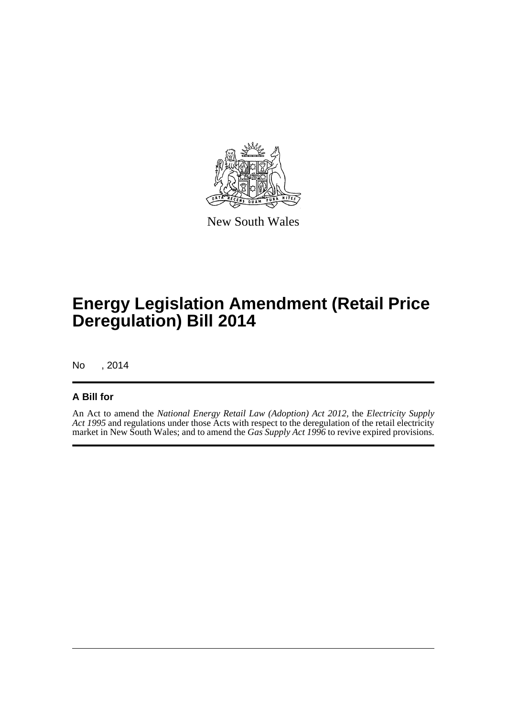

New South Wales

## **Energy Legislation Amendment (Retail Price Deregulation) Bill 2014**

No , 2014

#### **A Bill for**

An Act to amend the *National Energy Retail Law (Adoption) Act 2012*, the *Electricity Supply Act 1995* and regulations under those Acts with respect to the deregulation of the retail electricity market in New South Wales; and to amend the *Gas Supply Act 1996* to revive expired provisions.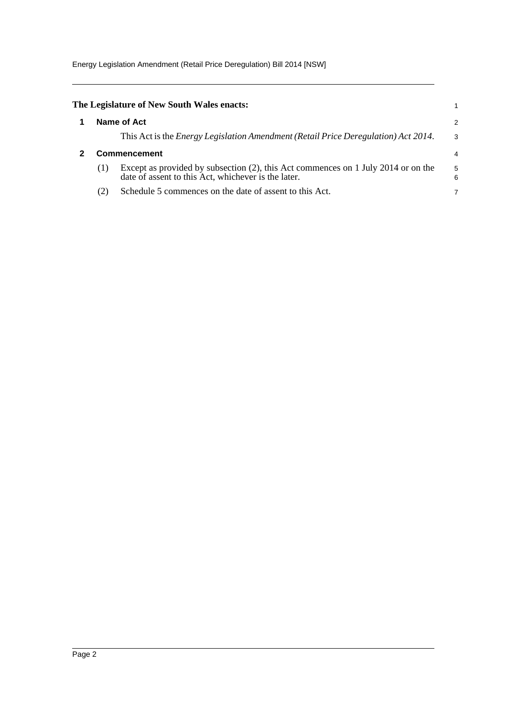Energy Legislation Amendment (Retail Price Deregulation) Bill 2014 [NSW]

<span id="page-5-1"></span><span id="page-5-0"></span>

|     | The Legislature of New South Wales enacts:                                                                                               |        |
|-----|------------------------------------------------------------------------------------------------------------------------------------------|--------|
|     | Name of Act                                                                                                                              | 2      |
|     | This Act is the <i>Energy Legislation Amendment (Retail Price Deregulation) Act 2014</i> .                                               | 3      |
|     | Commencement                                                                                                                             | 4      |
| (1) | Except as provided by subsection (2), this Act commences on 1 July 2014 or on the<br>date of assent to this Act, whichever is the later. | 5<br>6 |
| (2) | Schedule 5 commences on the date of assent to this Act.                                                                                  |        |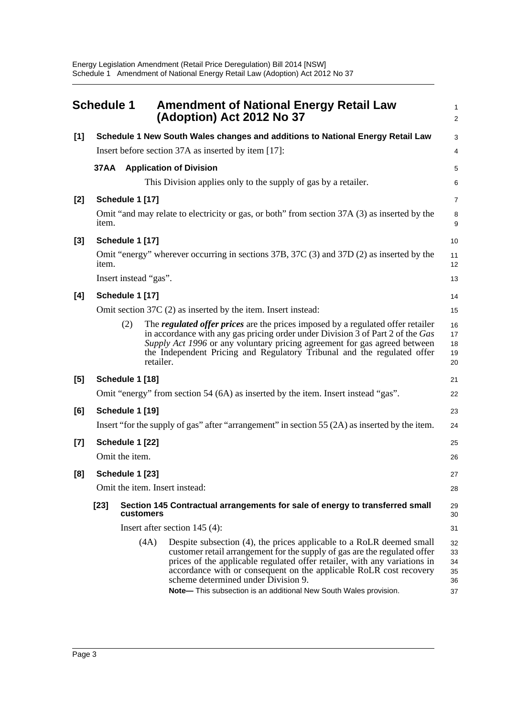<span id="page-6-0"></span>

|       | <b>Schedule 1</b> |                                                                                           |                       | <b>Amendment of National Energy Retail Law</b><br>(Adoption) Act 2012 No 37                                                                                                                                                                                                                                                                                                                                     | 1<br>$\overline{a}$              |
|-------|-------------------|-------------------------------------------------------------------------------------------|-----------------------|-----------------------------------------------------------------------------------------------------------------------------------------------------------------------------------------------------------------------------------------------------------------------------------------------------------------------------------------------------------------------------------------------------------------|----------------------------------|
| $[1]$ |                   |                                                                                           |                       | Schedule 1 New South Wales changes and additions to National Energy Retail Law                                                                                                                                                                                                                                                                                                                                  | 3                                |
|       |                   |                                                                                           |                       | Insert before section 37A as inserted by item [17]:                                                                                                                                                                                                                                                                                                                                                             | 4                                |
|       |                   |                                                                                           |                       | 37AA Application of Division                                                                                                                                                                                                                                                                                                                                                                                    | 5                                |
|       |                   |                                                                                           |                       | This Division applies only to the supply of gas by a retailer.                                                                                                                                                                                                                                                                                                                                                  | 6                                |
| [2]   |                   | Schedule 1 [17]                                                                           |                       |                                                                                                                                                                                                                                                                                                                                                                                                                 | 7                                |
|       | item.             |                                                                                           |                       | Omit "and may relate to electricity or gas, or both" from section 37A (3) as inserted by the                                                                                                                                                                                                                                                                                                                    | 8<br>9                           |
| [3]   |                   | Schedule 1 [17]                                                                           |                       |                                                                                                                                                                                                                                                                                                                                                                                                                 | 10                               |
|       | item.             |                                                                                           |                       | Omit "energy" wherever occurring in sections 37B, 37C (3) and 37D (2) as inserted by the                                                                                                                                                                                                                                                                                                                        | 11<br>12                         |
|       |                   |                                                                                           | Insert instead "gas". |                                                                                                                                                                                                                                                                                                                                                                                                                 | 13                               |
| [4]   |                   | Schedule 1 [17]                                                                           |                       |                                                                                                                                                                                                                                                                                                                                                                                                                 | 14                               |
|       |                   |                                                                                           |                       | Omit section $37C(2)$ as inserted by the item. Insert instead:                                                                                                                                                                                                                                                                                                                                                  | 15                               |
|       |                   | (2)                                                                                       | retailer.             | The <i>regulated offer prices</i> are the prices imposed by a regulated offer retailer<br>in accordance with any gas pricing order under Division 3 of Part 2 of the Gas<br>Supply Act 1996 or any voluntary pricing agreement for gas agreed between<br>the Independent Pricing and Regulatory Tribunal and the regulated offer                                                                                | 16<br>17<br>18<br>19<br>20       |
| [5]   |                   | Schedule 1 [18]                                                                           |                       |                                                                                                                                                                                                                                                                                                                                                                                                                 | 21                               |
|       |                   |                                                                                           |                       | Omit "energy" from section 54 (6A) as inserted by the item. Insert instead "gas".                                                                                                                                                                                                                                                                                                                               | 22                               |
| [6]   |                   | Schedule 1 [19]                                                                           |                       |                                                                                                                                                                                                                                                                                                                                                                                                                 | 23                               |
|       |                   |                                                                                           |                       | Insert "for the supply of gas" after "arrangement" in section 55 (2A) as inserted by the item.                                                                                                                                                                                                                                                                                                                  | 24                               |
| [7]   |                   | Schedule 1 [22]                                                                           |                       |                                                                                                                                                                                                                                                                                                                                                                                                                 | 25                               |
|       |                   | Omit the item.                                                                            |                       |                                                                                                                                                                                                                                                                                                                                                                                                                 | 26                               |
| [8]   |                   | Schedule 1 [23]                                                                           |                       |                                                                                                                                                                                                                                                                                                                                                                                                                 | 27                               |
|       |                   |                                                                                           |                       | Omit the item. Insert instead:                                                                                                                                                                                                                                                                                                                                                                                  | 28                               |
|       | $[23]$            | Section 145 Contractual arrangements for sale of energy to transferred small<br>customers |                       |                                                                                                                                                                                                                                                                                                                                                                                                                 | 29<br>30                         |
|       |                   |                                                                                           |                       | Insert after section $145(4)$ :                                                                                                                                                                                                                                                                                                                                                                                 | 31                               |
|       |                   |                                                                                           | (4A)                  | Despite subsection (4), the prices applicable to a RoLR deemed small<br>customer retail arrangement for the supply of gas are the regulated offer<br>prices of the applicable regulated offer retailer, with any variations in<br>accordance with or consequent on the applicable RoLR cost recovery<br>scheme determined under Division 9.<br>Note-This subsection is an additional New South Wales provision. | 32<br>33<br>34<br>35<br>36<br>37 |
|       |                   |                                                                                           |                       |                                                                                                                                                                                                                                                                                                                                                                                                                 |                                  |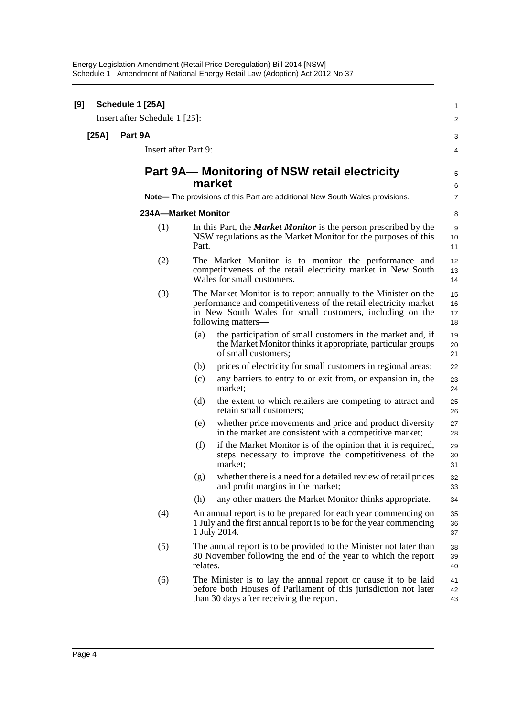Energy Legislation Amendment (Retail Price Deregulation) Bill 2014 [NSW] Schedule 1 Amendment of National Energy Retail Law (Adoption) Act 2012 No 37

| [9] |       | Schedule 1 [25A]              |          |                                                                                                                                                                                                                       | 1                    |
|-----|-------|-------------------------------|----------|-----------------------------------------------------------------------------------------------------------------------------------------------------------------------------------------------------------------------|----------------------|
|     |       | Insert after Schedule 1 [25]: |          |                                                                                                                                                                                                                       | $\overline{2}$       |
|     | [25A] | Part 9A                       |          |                                                                                                                                                                                                                       | 3                    |
|     |       | Insert after Part 9:          |          |                                                                                                                                                                                                                       | 4                    |
|     |       |                               |          | Part 9A— Monitoring of NSW retail electricity<br>market                                                                                                                                                               | 5<br>6               |
|     |       |                               |          | Note-The provisions of this Part are additional New South Wales provisions.                                                                                                                                           | $\overline{7}$       |
|     |       | 234A-Market Monitor           |          |                                                                                                                                                                                                                       | 8                    |
|     |       | (1)                           | Part.    | In this Part, the <i>Market Monitor</i> is the person prescribed by the<br>NSW regulations as the Market Monitor for the purposes of this                                                                             | 9<br>10<br>11        |
|     |       | (2)                           |          | The Market Monitor is to monitor the performance and<br>competitiveness of the retail electricity market in New South<br>Wales for small customers.                                                                   | 12<br>13<br>14       |
|     |       | (3)                           |          | The Market Monitor is to report annually to the Minister on the<br>performance and competitiveness of the retail electricity market<br>in New South Wales for small customers, including on the<br>following matters— | 15<br>16<br>17<br>18 |
|     |       |                               | (a)      | the participation of small customers in the market and, if<br>the Market Monitor thinks it appropriate, particular groups<br>of small customers;                                                                      | 19<br>20<br>21       |
|     |       |                               | (b)      | prices of electricity for small customers in regional areas;                                                                                                                                                          | 22                   |
|     |       |                               | (c)      | any barriers to entry to or exit from, or expansion in, the<br>market;                                                                                                                                                | 23<br>24             |
|     |       |                               | (d)      | the extent to which retailers are competing to attract and<br>retain small customers;                                                                                                                                 | 25<br>26             |
|     |       |                               | (e)      | whether price movements and price and product diversity<br>in the market are consistent with a competitive market;                                                                                                    | 27<br>28             |
|     |       |                               | (f)      | if the Market Monitor is of the opinion that it is required,<br>steps necessary to improve the competitiveness of the<br>market;                                                                                      | 29<br>30<br>31       |
|     |       |                               | (g)      | whether there is a need for a detailed review of retail prices<br>and profit margins in the market;                                                                                                                   | 32<br>33             |
|     |       |                               | (h)      | any other matters the Market Monitor thinks appropriate.                                                                                                                                                              | 34                   |
|     |       | (4)                           |          | An annual report is to be prepared for each year commencing on<br>1 July and the first annual report is to be for the year commencing<br>1 July 2014.                                                                 | 35<br>36<br>37       |
|     |       | (5)                           | relates. | The annual report is to be provided to the Minister not later than<br>30 November following the end of the year to which the report                                                                                   | 38<br>39<br>40       |
|     |       | (6)                           |          | The Minister is to lay the annual report or cause it to be laid<br>before both Houses of Parliament of this jurisdiction not later<br>than 30 days after receiving the report.                                        | 41<br>42<br>43       |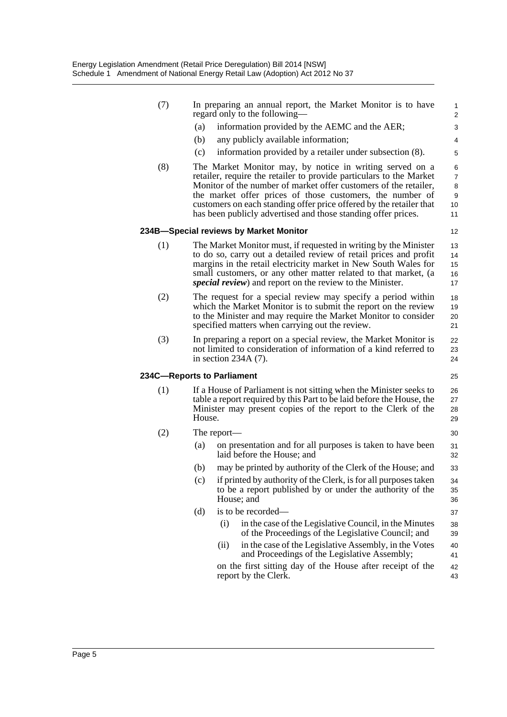| (7) |        | In preparing an annual report, the Market Monitor is to have<br>regard only to the following—                                                                                                                                                                                                                                                                                                            | 1<br>$\overline{\mathbf{c}}$              |
|-----|--------|----------------------------------------------------------------------------------------------------------------------------------------------------------------------------------------------------------------------------------------------------------------------------------------------------------------------------------------------------------------------------------------------------------|-------------------------------------------|
|     | (a)    | information provided by the AEMC and the AER;                                                                                                                                                                                                                                                                                                                                                            | 3                                         |
|     | (b)    | any publicly available information;                                                                                                                                                                                                                                                                                                                                                                      | 4                                         |
|     | (c)    | information provided by a retailer under subsection (8).                                                                                                                                                                                                                                                                                                                                                 | 5                                         |
| (8) |        | The Market Monitor may, by notice in writing served on a<br>retailer, require the retailer to provide particulars to the Market<br>Monitor of the number of market offer customers of the retailer,<br>the market offer prices of those customers, the number of<br>customers on each standing offer price offered by the retailer that<br>has been publicly advertised and those standing offer prices. | 6<br>$\overline{7}$<br>8<br>9<br>10<br>11 |
|     |        | 234B-Special reviews by Market Monitor                                                                                                                                                                                                                                                                                                                                                                   | 12                                        |
| (1) |        | The Market Monitor must, if requested in writing by the Minister<br>to do so, carry out a detailed review of retail prices and profit<br>margins in the retail electricity market in New South Wales for<br>small customers, or any other matter related to that market, (a<br><i>special review</i> ) and report on the review to the Minister.                                                         | 13<br>14<br>15<br>16<br>17                |
| (2) |        | The request for a special review may specify a period within<br>which the Market Monitor is to submit the report on the review<br>to the Minister and may require the Market Monitor to consider<br>specified matters when carrying out the review.                                                                                                                                                      | 18<br>19<br>20<br>21                      |
| (3) |        | In preparing a report on a special review, the Market Monitor is<br>not limited to consideration of information of a kind referred to<br>in section $234A(7)$ .                                                                                                                                                                                                                                          | 22<br>23<br>24                            |
|     |        | 234C-Reports to Parliament                                                                                                                                                                                                                                                                                                                                                                               | 25                                        |
| (1) | House. | If a House of Parliament is not sitting when the Minister seeks to<br>table a report required by this Part to be laid before the House, the<br>Minister may present copies of the report to the Clerk of the                                                                                                                                                                                             | 26<br>27<br>28<br>29                      |
| (2) |        | The report—                                                                                                                                                                                                                                                                                                                                                                                              | 30                                        |
|     | (a)    | on presentation and for all purposes is taken to have been<br>laid before the House; and                                                                                                                                                                                                                                                                                                                 | 31<br>32                                  |
|     | (b)    | may be printed by authority of the Clerk of the House; and                                                                                                                                                                                                                                                                                                                                               | 33                                        |
|     | (c)    | if printed by authority of the Clerk, is for all purposes taken<br>to be a report published by or under the authority of the<br>House; and                                                                                                                                                                                                                                                               | 34<br>35<br>36                            |
|     | (d)    | is to be recorded—                                                                                                                                                                                                                                                                                                                                                                                       | 37                                        |
|     |        | (i)<br>in the case of the Legislative Council, in the Minutes<br>of the Proceedings of the Legislative Council; and                                                                                                                                                                                                                                                                                      | 38<br>39                                  |
|     |        | in the case of the Legislative Assembly, in the Votes<br>(ii)<br>and Proceedings of the Legislative Assembly;                                                                                                                                                                                                                                                                                            | 40<br>41                                  |
|     |        | on the first sitting day of the House after receipt of the<br>report by the Clerk.                                                                                                                                                                                                                                                                                                                       | 42<br>43                                  |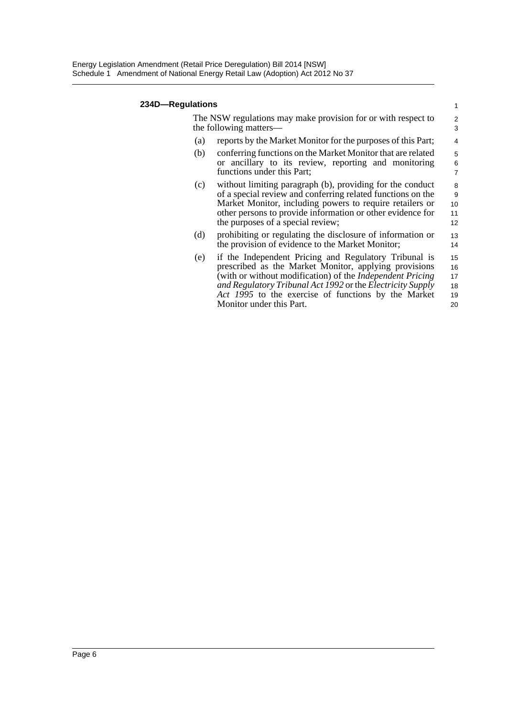#### **234D—Regulations**

| lations |                                                                                                                                                                                                                                                                                                         | 1                          |
|---------|---------------------------------------------------------------------------------------------------------------------------------------------------------------------------------------------------------------------------------------------------------------------------------------------------------|----------------------------|
|         | The NSW regulations may make provision for or with respect to<br>the following matters—                                                                                                                                                                                                                 | $\overline{2}$<br>3        |
| (a)     | reports by the Market Monitor for the purposes of this Part;                                                                                                                                                                                                                                            | 4                          |
| (b)     | conferring functions on the Market Monitor that are related<br>or ancillary to its review, reporting and monitoring<br>functions under this Part;                                                                                                                                                       | 5<br>6<br>$\overline{7}$   |
| (c)     | without limiting paragraph (b), providing for the conduct<br>of a special review and conferring related functions on the<br>Market Monitor, including powers to require retailers or<br>other persons to provide information or other evidence for<br>the purposes of a special review;                 | 8<br>9<br>10<br>11<br>12   |
| (d)     | prohibiting or regulating the disclosure of information or<br>the provision of evidence to the Market Monitor;                                                                                                                                                                                          | 13<br>14                   |
| (e)     | if the Independent Pricing and Regulatory Tribunal is<br>prescribed as the Market Monitor, applying provisions<br>(with or without modification) of the <i>Independent Pricing</i><br>and Regulatory Tribunal Act 1992 or the Electricity Supply<br>Act 1995 to the exercise of functions by the Market | 15<br>16<br>17<br>18<br>19 |

20

Monitor under this Part.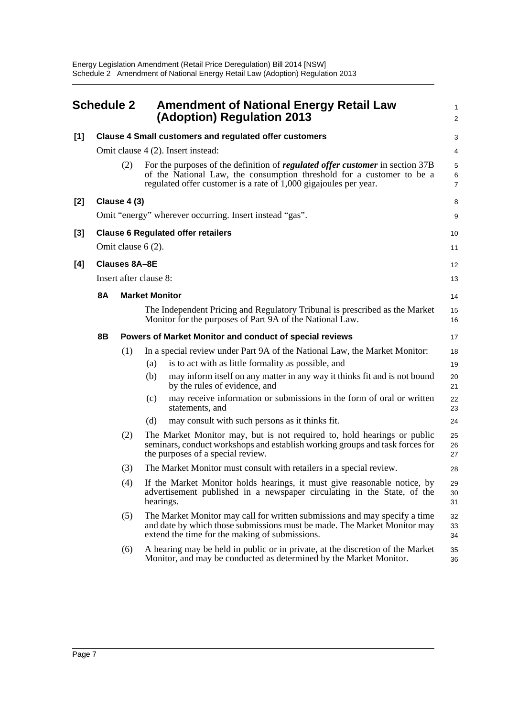<span id="page-10-0"></span>

| <b>Schedule 2</b> |           |                        | <b>Amendment of National Energy Retail Law</b><br>(Adoption) Regulation 2013 |                                                                                                                                                                                                                              |                |
|-------------------|-----------|------------------------|------------------------------------------------------------------------------|------------------------------------------------------------------------------------------------------------------------------------------------------------------------------------------------------------------------------|----------------|
| $[1]$             |           |                        |                                                                              | <b>Clause 4 Small customers and regulated offer customers</b>                                                                                                                                                                | 3              |
|                   |           |                        |                                                                              | Omit clause 4 (2). Insert instead:                                                                                                                                                                                           | 4              |
|                   |           | (2)                    |                                                                              | For the purposes of the definition of regulated offer customer in section 37B<br>of the National Law, the consumption threshold for a customer to be a<br>regulated offer customer is a rate of $1,000$ gigajoules per year. | 5<br>6<br>7    |
| [2]               |           | Clause 4 (3)           |                                                                              |                                                                                                                                                                                                                              | 8              |
|                   |           |                        |                                                                              | Omit "energy" wherever occurring. Insert instead "gas".                                                                                                                                                                      | 9              |
| [3]               |           |                        |                                                                              | <b>Clause 6 Regulated offer retailers</b>                                                                                                                                                                                    | 10             |
|                   |           | Omit clause $6(2)$ .   |                                                                              |                                                                                                                                                                                                                              | 11             |
| [4]               |           | <b>Clauses 8A-8E</b>   |                                                                              |                                                                                                                                                                                                                              | 12             |
|                   |           | Insert after clause 8: |                                                                              |                                                                                                                                                                                                                              | 13             |
|                   | <b>8A</b> |                        | <b>Market Monitor</b>                                                        |                                                                                                                                                                                                                              | 14             |
|                   |           |                        |                                                                              | The Independent Pricing and Regulatory Tribunal is prescribed as the Market<br>Monitor for the purposes of Part 9A of the National Law.                                                                                      | 15<br>16       |
|                   | 8B        |                        |                                                                              | Powers of Market Monitor and conduct of special reviews                                                                                                                                                                      | 17             |
|                   |           | (1)                    |                                                                              | In a special review under Part 9A of the National Law, the Market Monitor:                                                                                                                                                   | 18             |
|                   |           |                        | (a)                                                                          | is to act with as little formality as possible, and                                                                                                                                                                          | 19             |
|                   |           |                        | (b)                                                                          | may inform itself on any matter in any way it thinks fit and is not bound<br>by the rules of evidence, and                                                                                                                   | 20<br>21       |
|                   |           |                        | (c)                                                                          | may receive information or submissions in the form of oral or written<br>statements, and                                                                                                                                     | 22<br>23       |
|                   |           |                        | (d)                                                                          | may consult with such persons as it thinks fit.                                                                                                                                                                              | 24             |
|                   |           | (2)                    |                                                                              | The Market Monitor may, but is not required to, hold hearings or public<br>seminars, conduct workshops and establish working groups and task forces for<br>the purposes of a special review.                                 | 25<br>26<br>27 |
|                   |           | (3)                    |                                                                              | The Market Monitor must consult with retailers in a special review.                                                                                                                                                          | 28             |
|                   |           | (4)                    | hearings.                                                                    | If the Market Monitor holds hearings, it must give reasonable notice, by<br>advertisement published in a newspaper circulating in the State, of the                                                                          | 29<br>30<br>31 |
|                   |           | (5)                    |                                                                              | The Market Monitor may call for written submissions and may specify a time<br>and date by which those submissions must be made. The Market Monitor may<br>extend the time for the making of submissions.                     | 32<br>33<br>34 |
|                   |           | (6)                    |                                                                              | A hearing may be held in public or in private, at the discretion of the Market<br>Monitor, and may be conducted as determined by the Market Monitor.                                                                         | 35<br>36       |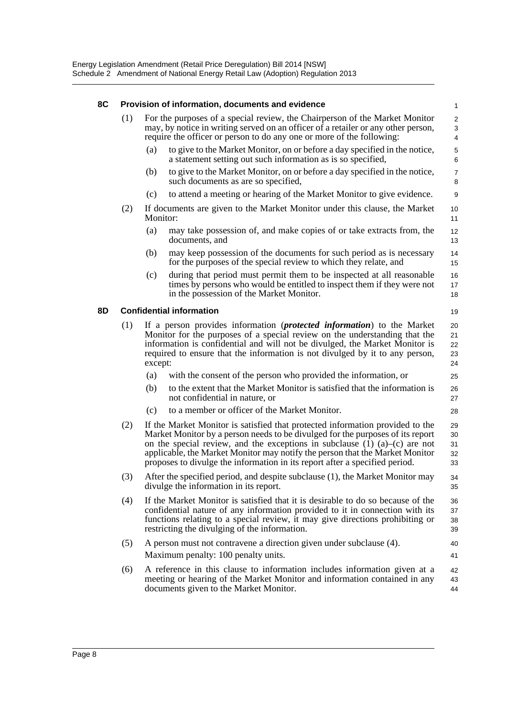| 8C | Provision of information, documents and evidence |                                                                                                                                                                                                                                                                                                                                                                                                                      |                                                                                                                                                                                                                                                                                                   |                            |  |  |  |
|----|--------------------------------------------------|----------------------------------------------------------------------------------------------------------------------------------------------------------------------------------------------------------------------------------------------------------------------------------------------------------------------------------------------------------------------------------------------------------------------|---------------------------------------------------------------------------------------------------------------------------------------------------------------------------------------------------------------------------------------------------------------------------------------------------|----------------------------|--|--|--|
|    | (1)                                              |                                                                                                                                                                                                                                                                                                                                                                                                                      | For the purposes of a special review, the Chairperson of the Market Monitor<br>may, by notice in writing served on an officer of a retailer or any other person,<br>require the officer or person to do any one or more of the following:                                                         | $\overline{2}$<br>3<br>4   |  |  |  |
|    |                                                  | (a)                                                                                                                                                                                                                                                                                                                                                                                                                  | to give to the Market Monitor, on or before a day specified in the notice,<br>a statement setting out such information as is so specified,                                                                                                                                                        | 5<br>6                     |  |  |  |
|    |                                                  | (b)                                                                                                                                                                                                                                                                                                                                                                                                                  | to give to the Market Monitor, on or before a day specified in the notice,<br>such documents as are so specified,                                                                                                                                                                                 | $\overline{7}$<br>8        |  |  |  |
|    |                                                  | (c)                                                                                                                                                                                                                                                                                                                                                                                                                  | to attend a meeting or hearing of the Market Monitor to give evidence.                                                                                                                                                                                                                            | 9                          |  |  |  |
|    | (2)                                              | Monitor:                                                                                                                                                                                                                                                                                                                                                                                                             | If documents are given to the Market Monitor under this clause, the Market                                                                                                                                                                                                                        | 10<br>11                   |  |  |  |
|    |                                                  | (a)                                                                                                                                                                                                                                                                                                                                                                                                                  | may take possession of, and make copies of or take extracts from, the<br>documents, and                                                                                                                                                                                                           | 12<br>13                   |  |  |  |
|    |                                                  | (b)                                                                                                                                                                                                                                                                                                                                                                                                                  | may keep possession of the documents for such period as is necessary<br>for the purposes of the special review to which they relate, and                                                                                                                                                          | 14<br>15                   |  |  |  |
|    |                                                  | (c)                                                                                                                                                                                                                                                                                                                                                                                                                  | during that period must permit them to be inspected at all reasonable<br>times by persons who would be entitled to inspect them if they were not<br>in the possession of the Market Monitor.                                                                                                      | 16<br>17<br>18             |  |  |  |
| 8D |                                                  |                                                                                                                                                                                                                                                                                                                                                                                                                      | <b>Confidential information</b>                                                                                                                                                                                                                                                                   | 19                         |  |  |  |
|    | (1)                                              | If a person provides information (protected information) to the Market<br>20<br>Monitor for the purposes of a special review on the understanding that the<br>21<br>information is confidential and will not be divulged, the Market Monitor is<br>22<br>required to ensure that the information is not divulged by it to any person,<br>23<br>except:<br>24                                                         |                                                                                                                                                                                                                                                                                                   |                            |  |  |  |
|    |                                                  | (a)                                                                                                                                                                                                                                                                                                                                                                                                                  | with the consent of the person who provided the information, or                                                                                                                                                                                                                                   | 25                         |  |  |  |
|    |                                                  | (b)                                                                                                                                                                                                                                                                                                                                                                                                                  | to the extent that the Market Monitor is satisfied that the information is<br>not confidential in nature, or                                                                                                                                                                                      | 26<br>27                   |  |  |  |
|    |                                                  | (c)                                                                                                                                                                                                                                                                                                                                                                                                                  | to a member or officer of the Market Monitor.                                                                                                                                                                                                                                                     | 28                         |  |  |  |
|    | (2)                                              | If the Market Monitor is satisfied that protected information provided to the<br>Market Monitor by a person needs to be divulged for the purposes of its report<br>on the special review, and the exceptions in subclause $(1)$ $(a)$ – $(c)$ are not<br>applicable, the Market Monitor may notify the person that the Market Monitor<br>proposes to divulge the information in its report after a specified period. |                                                                                                                                                                                                                                                                                                   | 29<br>30<br>31<br>32<br>33 |  |  |  |
|    | (3)                                              |                                                                                                                                                                                                                                                                                                                                                                                                                      | After the specified period, and despite subclause (1), the Market Monitor may<br>divulge the information in its report.                                                                                                                                                                           | 34<br>35                   |  |  |  |
|    | (4)                                              |                                                                                                                                                                                                                                                                                                                                                                                                                      | If the Market Monitor is satisfied that it is desirable to do so because of the<br>confidential nature of any information provided to it in connection with its<br>functions relating to a special review, it may give directions prohibiting or<br>restricting the divulging of the information. | 36<br>37<br>38<br>39       |  |  |  |
|    | (5)                                              |                                                                                                                                                                                                                                                                                                                                                                                                                      | A person must not contravene a direction given under subclause (4).                                                                                                                                                                                                                               | 40                         |  |  |  |
|    |                                                  |                                                                                                                                                                                                                                                                                                                                                                                                                      | Maximum penalty: 100 penalty units.                                                                                                                                                                                                                                                               | 41                         |  |  |  |
|    | (6)                                              |                                                                                                                                                                                                                                                                                                                                                                                                                      | A reference in this clause to information includes information given at a<br>meeting or hearing of the Market Monitor and information contained in any<br>documents given to the Market Monitor.                                                                                                  | 42<br>43<br>44             |  |  |  |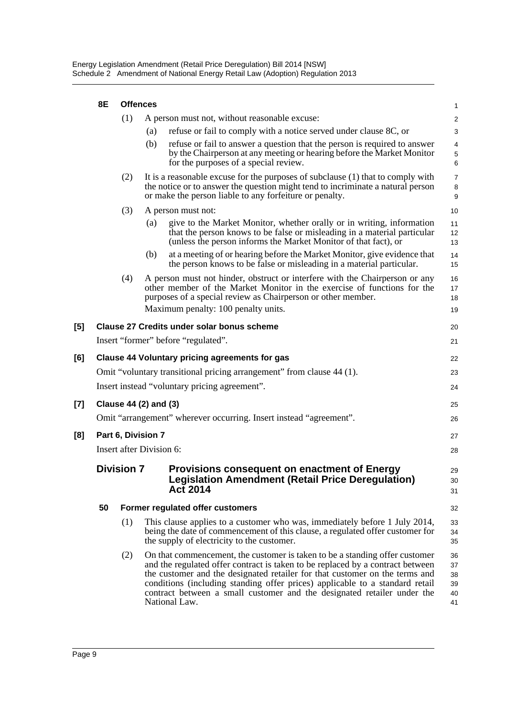|       | 8E                                                                    | <b>Offences</b>       |     |                                                                                                                                                                                                                                                                                                                                                                                                                          |                                  |  |  |
|-------|-----------------------------------------------------------------------|-----------------------|-----|--------------------------------------------------------------------------------------------------------------------------------------------------------------------------------------------------------------------------------------------------------------------------------------------------------------------------------------------------------------------------------------------------------------------------|----------------------------------|--|--|
|       |                                                                       | (1)                   |     | A person must not, without reasonable excuse:                                                                                                                                                                                                                                                                                                                                                                            | $\overline{a}$                   |  |  |
|       |                                                                       |                       | (a) | refuse or fail to comply with a notice served under clause 8C, or                                                                                                                                                                                                                                                                                                                                                        | 3                                |  |  |
|       |                                                                       |                       | (b) | refuse or fail to answer a question that the person is required to answer<br>by the Chairperson at any meeting or hearing before the Market Monitor<br>for the purposes of a special review.                                                                                                                                                                                                                             | 4<br>5<br>6                      |  |  |
|       |                                                                       | (2)                   |     | It is a reasonable excuse for the purposes of subclause (1) that to comply with<br>the notice or to answer the question might tend to incriminate a natural person<br>or make the person liable to any forfeiture or penalty.                                                                                                                                                                                            | 7<br>8<br>9                      |  |  |
|       |                                                                       | (3)                   |     | A person must not:                                                                                                                                                                                                                                                                                                                                                                                                       | 10                               |  |  |
|       |                                                                       |                       | (a) | give to the Market Monitor, whether orally or in writing, information<br>that the person knows to be false or misleading in a material particular<br>(unless the person informs the Market Monitor of that fact), or                                                                                                                                                                                                     | 11<br>12<br>13                   |  |  |
|       |                                                                       |                       | (b) | at a meeting of or hearing before the Market Monitor, give evidence that<br>the person knows to be false or misleading in a material particular.                                                                                                                                                                                                                                                                         | 14<br>15                         |  |  |
|       |                                                                       | (4)                   |     | A person must not hinder, obstruct or interfere with the Chairperson or any<br>other member of the Market Monitor in the exercise of functions for the<br>purposes of a special review as Chairperson or other member.<br>Maximum penalty: 100 penalty units.                                                                                                                                                            | 16<br>17<br>18<br>19             |  |  |
|       |                                                                       |                       |     |                                                                                                                                                                                                                                                                                                                                                                                                                          |                                  |  |  |
| [5]   |                                                                       |                       |     | <b>Clause 27 Credits under solar bonus scheme</b>                                                                                                                                                                                                                                                                                                                                                                        | 20                               |  |  |
|       |                                                                       |                       |     | Insert "former" before "regulated".                                                                                                                                                                                                                                                                                                                                                                                      | 21                               |  |  |
| [6]   |                                                                       |                       |     | <b>Clause 44 Voluntary pricing agreements for gas</b>                                                                                                                                                                                                                                                                                                                                                                    | 22                               |  |  |
|       | Omit "voluntary transitional pricing arrangement" from clause 44 (1). |                       |     |                                                                                                                                                                                                                                                                                                                                                                                                                          |                                  |  |  |
|       |                                                                       |                       |     | Insert instead "voluntary pricing agreement".                                                                                                                                                                                                                                                                                                                                                                            | 24                               |  |  |
| $[7]$ |                                                                       | Clause 44 (2) and (3) |     |                                                                                                                                                                                                                                                                                                                                                                                                                          |                                  |  |  |
|       |                                                                       |                       |     | Omit "arrangement" wherever occurring. Insert instead "agreement".                                                                                                                                                                                                                                                                                                                                                       | 26                               |  |  |
| [8]   | Part 6, Division 7                                                    |                       |     |                                                                                                                                                                                                                                                                                                                                                                                                                          |                                  |  |  |
|       | Insert after Division 6:                                              |                       |     |                                                                                                                                                                                                                                                                                                                                                                                                                          |                                  |  |  |
|       | <b>Division 7</b>                                                     |                       |     | <b>Provisions consequent on enactment of Energy</b><br><b>Legislation Amendment (Retail Price Deregulation)</b><br><b>Act 2014</b>                                                                                                                                                                                                                                                                                       |                                  |  |  |
|       | 50                                                                    |                       |     | Former regulated offer customers                                                                                                                                                                                                                                                                                                                                                                                         | 32                               |  |  |
|       |                                                                       | (1)                   |     | This clause applies to a customer who was, immediately before 1 July 2014,<br>being the date of commencement of this clause, a regulated offer customer for<br>the supply of electricity to the customer.                                                                                                                                                                                                                | 33<br>34<br>35                   |  |  |
|       |                                                                       | (2)                   |     | On that commencement, the customer is taken to be a standing offer customer<br>and the regulated offer contract is taken to be replaced by a contract between<br>the customer and the designated retailer for that customer on the terms and<br>conditions (including standing offer prices) applicable to a standard retail<br>contract between a small customer and the designated retailer under the<br>National Law. | 36<br>37<br>38<br>39<br>40<br>41 |  |  |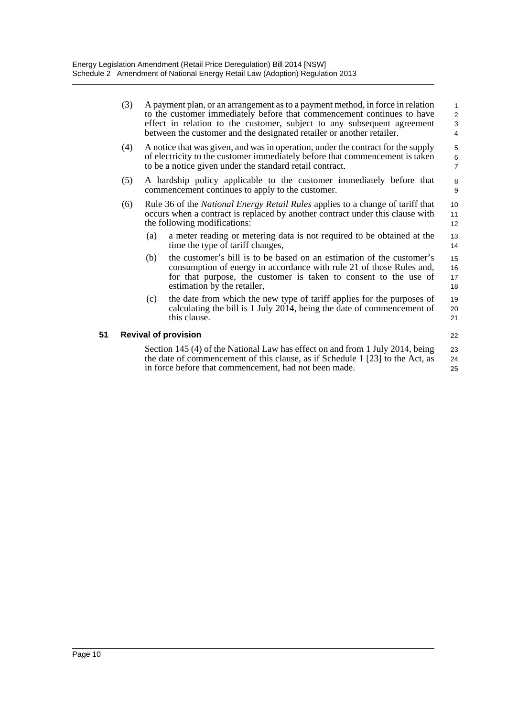|    | (3) |     | A payment plan, or an arrangement as to a payment method, in force in relation<br>to the customer immediately before that commencement continues to have<br>effect in relation to the customer, subject to any subsequent agreement              | $\mathbf{1}$<br>$\overline{2}$<br>3 |
|----|-----|-----|--------------------------------------------------------------------------------------------------------------------------------------------------------------------------------------------------------------------------------------------------|-------------------------------------|
|    |     |     | between the customer and the designated retailer or another retailer.                                                                                                                                                                            | 4                                   |
|    | (4) |     | A notice that was given, and was in operation, under the contract for the supply<br>of electricity to the customer immediately before that commencement is taken<br>to be a notice given under the standard retail contract.                     | 5<br>6<br>$\overline{7}$            |
|    | (5) |     | A hardship policy applicable to the customer immediately before that<br>commencement continues to apply to the customer.                                                                                                                         | 8<br>9                              |
|    | (6) |     | Rule 36 of the <i>National Energy Retail Rules</i> applies to a change of tariff that<br>occurs when a contract is replaced by another contract under this clause with<br>the following modifications:                                           | 10<br>11<br>12                      |
|    |     | (a) | a meter reading or metering data is not required to be obtained at the<br>time the type of tariff changes,                                                                                                                                       | 13<br>14                            |
|    |     | (b) | the customer's bill is to be based on an estimation of the customer's<br>consumption of energy in accordance with rule 21 of those Rules and,<br>for that purpose, the customer is taken to consent to the use of<br>estimation by the retailer, | 15<br>16<br>17<br>18                |
|    |     | (c) | the date from which the new type of tariff applies for the purposes of<br>calculating the bill is 1 July 2014, being the date of commencement of<br>this clause.                                                                                 | 19<br>20<br>21                      |
| 51 |     |     | <b>Revival of provision</b>                                                                                                                                                                                                                      | 22                                  |
|    |     |     | Section 145 (4) of the National Law has effect on and from 1 July 2014, being<br>the date of commencement of this clause, as if Schedule 1 [23] to the Act, as<br>in force before that commencement, had not been made.                          | 23<br>24<br>25                      |
|    |     |     |                                                                                                                                                                                                                                                  |                                     |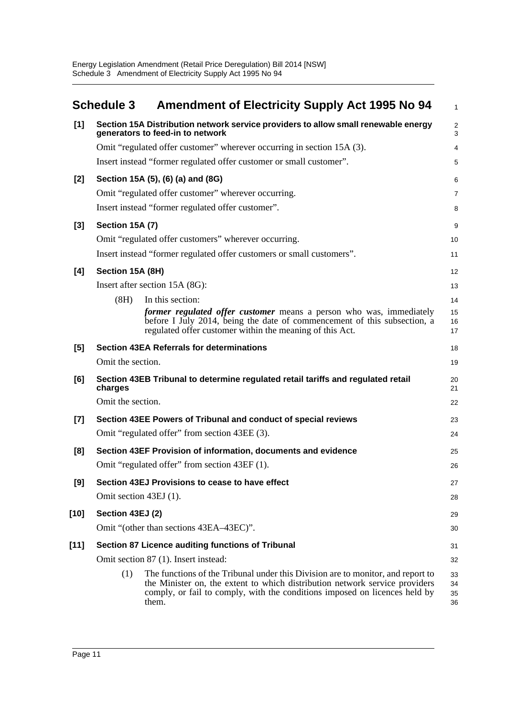<span id="page-14-0"></span>

|        | <b>Schedule 3</b>      | <b>Amendment of Electricity Supply Act 1995 No 94</b>                                                                                                                                                                                                 | $\mathbf{1}$         |
|--------|------------------------|-------------------------------------------------------------------------------------------------------------------------------------------------------------------------------------------------------------------------------------------------------|----------------------|
| [1]    |                        | Section 15A Distribution network service providers to allow small renewable energy<br>generators to feed-in to network                                                                                                                                | $\overline{2}$<br>3  |
|        |                        | Omit "regulated offer customer" wherever occurring in section 15A (3).                                                                                                                                                                                | 4                    |
|        |                        | Insert instead "former regulated offer customer or small customer".                                                                                                                                                                                   | 5                    |
| $[2]$  |                        | Section 15A (5), (6) (a) and (8G)                                                                                                                                                                                                                     | 6                    |
|        |                        | Omit "regulated offer customer" wherever occurring.                                                                                                                                                                                                   | $\overline{7}$       |
|        |                        | Insert instead "former regulated offer customer".                                                                                                                                                                                                     | 8                    |
| $[3]$  | Section 15A (7)        |                                                                                                                                                                                                                                                       | 9                    |
|        |                        | Omit "regulated offer customers" wherever occurring.                                                                                                                                                                                                  | 10                   |
|        |                        | Insert instead "former regulated offer customers or small customers".                                                                                                                                                                                 | 11                   |
| [4]    | Section 15A (8H)       |                                                                                                                                                                                                                                                       | 12                   |
|        |                        | Insert after section 15A (8G):                                                                                                                                                                                                                        | 13                   |
|        | (8H)                   | In this section:                                                                                                                                                                                                                                      | 14                   |
|        |                        | former regulated offer customer means a person who was, immediately<br>before I July 2014, being the date of commencement of this subsection, a<br>regulated offer customer within the meaning of this Act.                                           | 15<br>16<br>17       |
| [5]    |                        | <b>Section 43EA Referrals for determinations</b>                                                                                                                                                                                                      | 18                   |
|        | Omit the section.      |                                                                                                                                                                                                                                                       | 19                   |
| [6]    | charges                | Section 43EB Tribunal to determine regulated retail tariffs and regulated retail                                                                                                                                                                      | 20<br>21             |
|        | Omit the section.      |                                                                                                                                                                                                                                                       | 22                   |
| $[7]$  |                        | Section 43EE Powers of Tribunal and conduct of special reviews                                                                                                                                                                                        | 23                   |
|        |                        | Omit "regulated offer" from section 43EE (3).                                                                                                                                                                                                         | 24                   |
| [8]    |                        | Section 43EF Provision of information, documents and evidence                                                                                                                                                                                         | 25                   |
|        |                        | Omit "regulated offer" from section 43EF (1).                                                                                                                                                                                                         | 26                   |
| [9]    |                        | Section 43EJ Provisions to cease to have effect                                                                                                                                                                                                       | 27                   |
|        | Omit section 43EJ (1). |                                                                                                                                                                                                                                                       | 28                   |
| [10]   | Section 43EJ (2)       |                                                                                                                                                                                                                                                       | 29                   |
|        |                        | Omit "(other than sections 43EA-43EC)".                                                                                                                                                                                                               | 30                   |
| $[11]$ |                        | Section 87 Licence auditing functions of Tribunal                                                                                                                                                                                                     | 31                   |
|        |                        | Omit section 87 (1). Insert instead:                                                                                                                                                                                                                  | 32                   |
|        | (1)                    | The functions of the Tribunal under this Division are to monitor, and report to<br>the Minister on, the extent to which distribution network service providers<br>comply, or fail to comply, with the conditions imposed on licences held by<br>them. | 33<br>34<br>35<br>36 |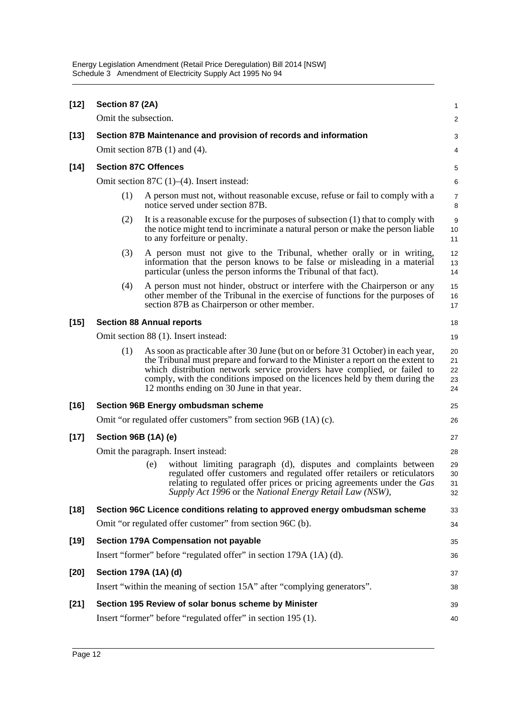| $[12]$ | Section 87 (2A)                  |                             |                                                                                                                                                                                                                                                                                                                                                                             | 1                          |  |  |  |
|--------|----------------------------------|-----------------------------|-----------------------------------------------------------------------------------------------------------------------------------------------------------------------------------------------------------------------------------------------------------------------------------------------------------------------------------------------------------------------------|----------------------------|--|--|--|
|        | Omit the subsection.             |                             |                                                                                                                                                                                                                                                                                                                                                                             | 2                          |  |  |  |
| $[13]$ |                                  |                             | Section 87B Maintenance and provision of records and information                                                                                                                                                                                                                                                                                                            | 3                          |  |  |  |
|        |                                  |                             | Omit section $87B(1)$ and $(4)$ .                                                                                                                                                                                                                                                                                                                                           | 4                          |  |  |  |
| $[14]$ |                                  | <b>Section 87C Offences</b> |                                                                                                                                                                                                                                                                                                                                                                             |                            |  |  |  |
|        |                                  |                             | Omit section 87C $(1)$ – $(4)$ . Insert instead:                                                                                                                                                                                                                                                                                                                            | 6                          |  |  |  |
|        | (1)                              |                             | A person must not, without reasonable excuse, refuse or fail to comply with a<br>notice served under section 87B.                                                                                                                                                                                                                                                           | $\overline{7}$<br>8        |  |  |  |
|        | (2)                              |                             | It is a reasonable excuse for the purposes of subsection $(1)$ that to comply with<br>the notice might tend to incriminate a natural person or make the person liable<br>to any forfeiture or penalty.                                                                                                                                                                      | 9<br>10<br>11              |  |  |  |
|        | (3)                              |                             | A person must not give to the Tribunal, whether orally or in writing,<br>information that the person knows to be false or misleading in a material<br>particular (unless the person informs the Tribunal of that fact).                                                                                                                                                     | 12<br>13<br>14             |  |  |  |
|        | (4)                              |                             | A person must not hinder, obstruct or interfere with the Chairperson or any<br>other member of the Tribunal in the exercise of functions for the purposes of<br>section 87B as Chairperson or other member.                                                                                                                                                                 | 15<br>16<br>17             |  |  |  |
| $[15]$ | <b>Section 88 Annual reports</b> |                             |                                                                                                                                                                                                                                                                                                                                                                             | 18                         |  |  |  |
|        |                                  |                             | Omit section 88 (1). Insert instead:                                                                                                                                                                                                                                                                                                                                        | 19                         |  |  |  |
|        | (1)                              |                             | As soon as practicable after 30 June (but on or before 31 October) in each year,<br>the Tribunal must prepare and forward to the Minister a report on the extent to<br>which distribution network service providers have complied, or failed to<br>comply, with the conditions imposed on the licences held by them during the<br>12 months ending on 30 June in that year. | 20<br>21<br>22<br>23<br>24 |  |  |  |
| $[16]$ |                                  |                             | <b>Section 96B Energy ombudsman scheme</b>                                                                                                                                                                                                                                                                                                                                  | 25                         |  |  |  |
|        |                                  |                             | Omit "or regulated offer customers" from section 96B (1A) (c).                                                                                                                                                                                                                                                                                                              | 26                         |  |  |  |
| $[17]$ | Section 96B (1A) (e)             |                             |                                                                                                                                                                                                                                                                                                                                                                             | 27                         |  |  |  |
|        |                                  |                             | Omit the paragraph. Insert instead:                                                                                                                                                                                                                                                                                                                                         | 28                         |  |  |  |
|        |                                  | (e)                         | without limiting paragraph (d), disputes and complaints between<br>regulated offer customers and regulated offer retailers or reticulators<br>relating to regulated offer prices or pricing agreements under the Gas<br>Supply Act 1996 or the National Energy Retail Law (NSW),                                                                                            | 29<br>30<br>31<br>32       |  |  |  |
| $[18]$ |                                  |                             | Section 96C Licence conditions relating to approved energy ombudsman scheme                                                                                                                                                                                                                                                                                                 | 33                         |  |  |  |
|        |                                  |                             | Omit "or regulated offer customer" from section 96C (b).                                                                                                                                                                                                                                                                                                                    | 34                         |  |  |  |
| $[19]$ |                                  |                             | Section 179A Compensation not payable                                                                                                                                                                                                                                                                                                                                       | 35                         |  |  |  |
|        |                                  |                             | Insert "former" before "regulated offer" in section 179A (1A) (d).                                                                                                                                                                                                                                                                                                          | 36                         |  |  |  |
| $[20]$ | Section 179A (1A) (d)            |                             |                                                                                                                                                                                                                                                                                                                                                                             | 37                         |  |  |  |
|        |                                  |                             | Insert "within the meaning of section 15A" after "complying generators".                                                                                                                                                                                                                                                                                                    | 38                         |  |  |  |
| $[21]$ |                                  |                             | Section 195 Review of solar bonus scheme by Minister                                                                                                                                                                                                                                                                                                                        | 39                         |  |  |  |
|        |                                  |                             | Insert "former" before "regulated offer" in section 195 (1).                                                                                                                                                                                                                                                                                                                | 40                         |  |  |  |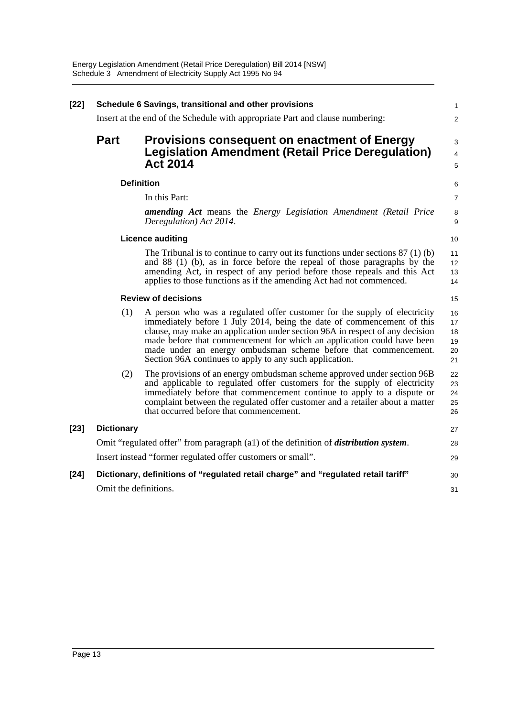| $[22]$ | Schedule 6 Savings, transitional and other provisions                                        |                                                                                                                                                                                                                                                                                                                                                                                                                                             | 1<br>2                           |  |
|--------|----------------------------------------------------------------------------------------------|---------------------------------------------------------------------------------------------------------------------------------------------------------------------------------------------------------------------------------------------------------------------------------------------------------------------------------------------------------------------------------------------------------------------------------------------|----------------------------------|--|
|        | Insert at the end of the Schedule with appropriate Part and clause numbering:                |                                                                                                                                                                                                                                                                                                                                                                                                                                             |                                  |  |
|        | <b>Part</b>                                                                                  | <b>Provisions consequent on enactment of Energy</b><br><b>Legislation Amendment (Retail Price Deregulation)</b><br><b>Act 2014</b>                                                                                                                                                                                                                                                                                                          | $\mathsf 3$<br>4<br>5            |  |
|        |                                                                                              | <b>Definition</b>                                                                                                                                                                                                                                                                                                                                                                                                                           | 6                                |  |
|        |                                                                                              | In this Part:                                                                                                                                                                                                                                                                                                                                                                                                                               | $\overline{7}$                   |  |
|        |                                                                                              | <b>amending Act</b> means the <i>Energy Legislation Amendment (Retail Price</i><br>Deregulation) Act 2014.                                                                                                                                                                                                                                                                                                                                  | 8<br>9                           |  |
|        | <b>Licence auditing</b>                                                                      |                                                                                                                                                                                                                                                                                                                                                                                                                                             |                                  |  |
|        |                                                                                              | The Tribunal is to continue to carry out its functions under sections $87(1)(b)$<br>and 88 (1) (b), as in force before the repeal of those paragraphs by the<br>amending Act, in respect of any period before those repeals and this Act<br>applies to those functions as if the amending Act had not commenced.                                                                                                                            | 11<br>12<br>13<br>14             |  |
|        | <b>Review of decisions</b>                                                                   |                                                                                                                                                                                                                                                                                                                                                                                                                                             |                                  |  |
|        | (1)                                                                                          | A person who was a regulated offer customer for the supply of electricity<br>immediately before 1 July 2014, being the date of commencement of this<br>clause, may make an application under section 96A in respect of any decision<br>made before that commencement for which an application could have been<br>made under an energy ombudsman scheme before that commencement.<br>Section 96A continues to apply to any such application. | 16<br>17<br>18<br>19<br>20<br>21 |  |
|        | (2)                                                                                          | The provisions of an energy ombudsman scheme approved under section 96B<br>and applicable to regulated offer customers for the supply of electricity<br>immediately before that commencement continue to apply to a dispute or<br>complaint between the regulated offer customer and a retailer about a matter<br>that occurred before that commencement.                                                                                   | 22<br>23<br>24<br>25<br>26       |  |
| $[23]$ | <b>Dictionary</b>                                                                            |                                                                                                                                                                                                                                                                                                                                                                                                                                             | 27                               |  |
|        | Omit "regulated offer" from paragraph (a1) of the definition of <i>distribution system</i> . |                                                                                                                                                                                                                                                                                                                                                                                                                                             |                                  |  |
|        | Insert instead "former regulated offer customers or small".                                  |                                                                                                                                                                                                                                                                                                                                                                                                                                             |                                  |  |
| $[24]$ | Dictionary, definitions of "regulated retail charge" and "regulated retail tariff"           |                                                                                                                                                                                                                                                                                                                                                                                                                                             |                                  |  |
|        | Omit the definitions.                                                                        |                                                                                                                                                                                                                                                                                                                                                                                                                                             | 31                               |  |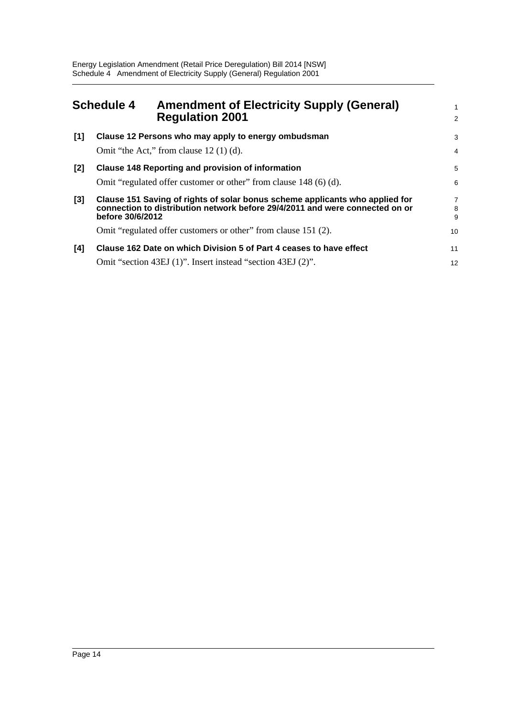<span id="page-17-0"></span>

|       | <b>Schedule 4</b>                                                                                                             | <b>Amendment of Electricity Supply (General)</b><br><b>Regulation 2001</b>                                                                                   | 1<br>$\overline{2}$      |  |
|-------|-------------------------------------------------------------------------------------------------------------------------------|--------------------------------------------------------------------------------------------------------------------------------------------------------------|--------------------------|--|
| [1]   |                                                                                                                               | Clause 12 Persons who may apply to energy ombudsman<br>Omit "the Act," from clause $12(1)(d)$ .                                                              | 3<br>$\overline{4}$      |  |
| $[2]$ | <b>Clause 148 Reporting and provision of information</b><br>Omit "regulated offer customer or other" from clause 148 (6) (d). |                                                                                                                                                              | 5<br>6                   |  |
| $[3]$ | before 30/6/2012                                                                                                              | Clause 151 Saving of rights of solar bonus scheme applicants who applied for<br>connection to distribution network before 29/4/2011 and were connected on or | $\overline{7}$<br>8<br>9 |  |
|       |                                                                                                                               | Omit "regulated offer customers or other" from clause 151 (2).                                                                                               | 10                       |  |
| [4]   |                                                                                                                               | Clause 162 Date on which Division 5 of Part 4 ceases to have effect<br>Omit "section 43EJ (1)". Insert instead "section 43EJ (2)".                           | 11<br>12                 |  |